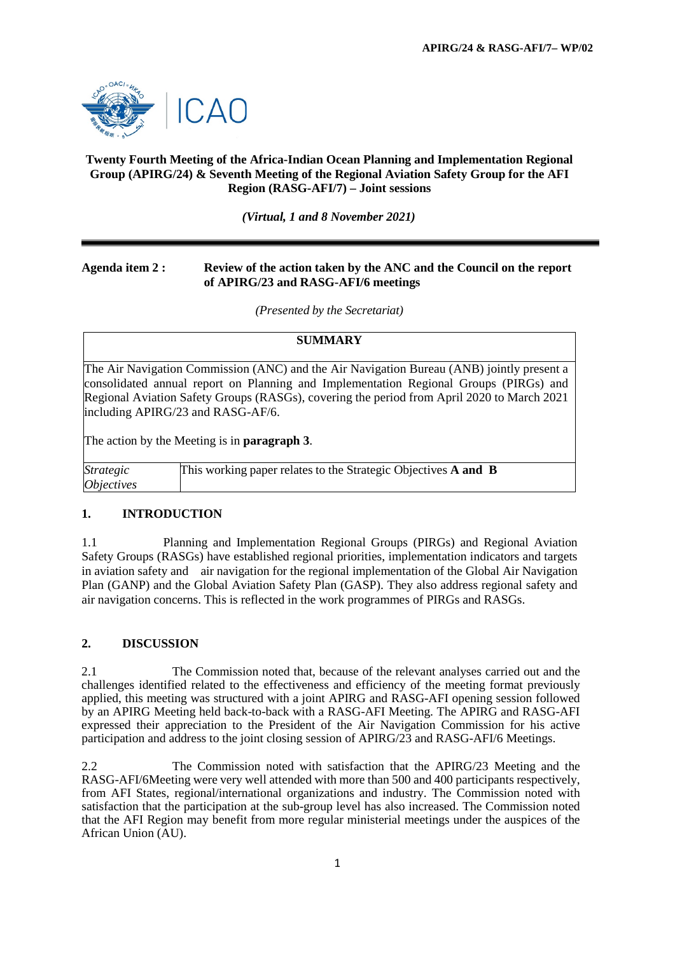

## **Twenty Fourth Meeting of the Africa-Indian Ocean Planning and Implementation Regional Group (APIRG/24) & Seventh Meeting of the Regional Aviation Safety Group for the AFI Region (RASG-AFI/7) – Joint sessions**

*(Virtual, 1 and 8 November 2021)*

## **Agenda item 2 : Review of the action taken by the ANC and the Council on the report of APIRG/23 and RASG-AFI/6 meetings**

*(Presented by the Secretariat)*

#### **SUMMARY**

The Air Navigation Commission (ANC) and the Air Navigation Bureau (ANB) jointly present a consolidated annual report on Planning and Implementation Regional Groups (PIRGs) and Regional Aviation Safety Groups (RASGs), covering the period from April 2020 to March 2021 including APIRG/23 and RASG-AF/6.

The action by the Meeting is in **paragraph 3**.

| <i>Strategic</i>         | This working paper relates to the Strategic Objectives <b>A and B</b> |
|--------------------------|-----------------------------------------------------------------------|
| <i><b>Objectives</b></i> |                                                                       |

#### **1. INTRODUCTION**

1.1 Planning and Implementation Regional Groups (PIRGs) and Regional Aviation Safety Groups (RASGs) have established regional priorities, implementation indicators and targets in aviation safety and air navigation for the regional implementation of the Global Air Navigation Plan (GANP) and the Global Aviation Safety Plan (GASP). They also address regional safety and air navigation concerns. This is reflected in the work programmes of PIRGs and RASGs.

#### **2. DISCUSSION**

2.1 The Commission noted that, because of the relevant analyses carried out and the challenges identified related to the effectiveness and efficiency of the meeting format previously applied, this meeting was structured with a joint APIRG and RASG-AFI opening session followed by an APIRG Meeting held back-to-back with a RASG-AFI Meeting. The APIRG and RASG-AFI expressed their appreciation to the President of the Air Navigation Commission for his active participation and address to the joint closing session of APIRG/23 and RASG-AFI/6 Meetings.

2.2 The Commission noted with satisfaction that the APIRG/23 Meeting and the RASG-AFI/6Meeting were very well attended with more than 500 and 400 participants respectively, from AFI States, regional/international organizations and industry. The Commission noted with satisfaction that the participation at the sub-group level has also increased. The Commission noted that the AFI Region may benefit from more regular ministerial meetings under the auspices of the African Union (AU).